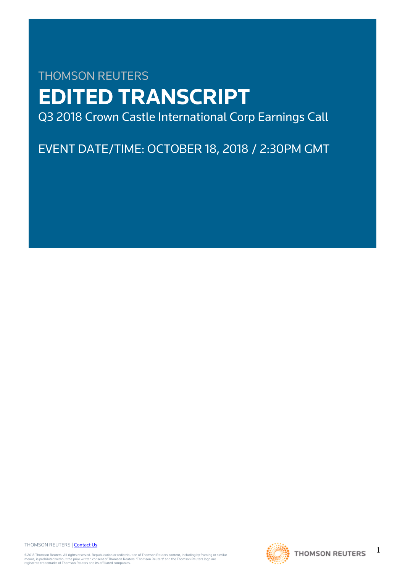# THOMSON REUTERS **EDITED TRANSCRIPT** Q3 2018 Crown Castle International Corp Earnings Call

EVENT DATE/TIME: OCTOBER 18, 2018 / 2:30PM GMT

THOMSON REUTERS | [Contact Us](https://my.thomsonreuters.com/ContactUsNew)

©2018 Thomson Reuters. All rights reserved. Republication or redistribution of Thomson Reuters content, including by framing or similar<br>means, is prohibited without the prior written consent of Thomson Reuters. "Thomson Re



1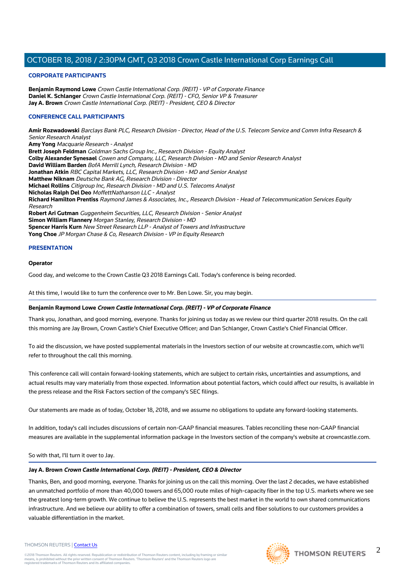#### **CORPORATE PARTICIPANTS**

**Benjamin Raymond Lowe** Crown Castle International Corp. (REIT) - VP of Corporate Finance **Daniel K. Schlanger** Crown Castle International Corp. (REIT) - CFO, Senior VP & Treasurer **Jay A. Brown** Crown Castle International Corp. (REIT) - President, CEO & Director

#### **CONFERENCE CALL PARTICIPANTS**

**Amir Rozwadowski** Barclays Bank PLC, Research Division - Director, Head of the U.S. Telecom Service and Comm Infra Research & Senior Research Analyst **Amy Yong** Macquarie Research - Analyst **Brett Joseph Feldman** Goldman Sachs Group Inc., Research Division - Equity Analyst **Colby Alexander Synesael** Cowen and Company, LLC, Research Division - MD and Senior Research Analyst **David William Barden** BofA Merrill Lynch, Research Division - MD **Jonathan Atkin** RBC Capital Markets, LLC, Research Division - MD and Senior Analyst **Matthew Niknam** Deutsche Bank AG, Research Division - Director **Michael Rollins** Citigroup Inc, Research Division - MD and U.S. Telecoms Analyst **Nicholas Ralph Del Deo** MoffettNathanson LLC - Analyst **Richard Hamilton Prentiss** Raymond James & Associates, Inc., Research Division - Head of Telecommunication Services Equity Research **Robert Ari Gutman** Guggenheim Securities, LLC, Research Division - Senior Analyst **Simon William Flannery** Morgan Stanley, Research Division - MD **Spencer Harris Kurn** New Street Research LLP - Analyst of Towers and Infrastructure **Yong Choe** JP Morgan Chase & Co, Research Division - VP in Equity Research

#### **PRESENTATION**

#### **Operator**

Good day, and welcome to the Crown Castle Q3 2018 Earnings Call. Today's conference is being recorded.

At this time, I would like to turn the conference over to Mr. Ben Lowe. Sir, you may begin.

#### **Benjamin Raymond Lowe Crown Castle International Corp. (REIT) - VP of Corporate Finance**

Thank you, Jonathan, and good morning, everyone. Thanks for joining us today as we review our third quarter 2018 results. On the call this morning are Jay Brown, Crown Castle's Chief Executive Officer; and Dan Schlanger, Crown Castle's Chief Financial Officer.

To aid the discussion, we have posted supplemental materials in the Investors section of our website at crowncastle.com, which we'll refer to throughout the call this morning.

This conference call will contain forward-looking statements, which are subject to certain risks, uncertainties and assumptions, and actual results may vary materially from those expected. Information about potential factors, which could affect our results, is available in the press release and the Risk Factors section of the company's SEC filings.

Our statements are made as of today, October 18, 2018, and we assume no obligations to update any forward-looking statements.

In addition, today's call includes discussions of certain non-GAAP financial measures. Tables reconciling these non-GAAP financial measures are available in the supplemental information package in the Investors section of the company's website at crowncastle.com.

So with that, I'll turn it over to Jay.

#### **Jay A. Brown Crown Castle International Corp. (REIT) - President, CEO & Director**

Thanks, Ben, and good morning, everyone. Thanks for joining us on the call this morning. Over the last 2 decades, we have established an unmatched portfolio of more than 40,000 towers and 65,000 route miles of high-capacity fiber in the top U.S. markets where we see the greatest long-term growth. We continue to believe the U.S. represents the best market in the world to own shared communications infrastructure. And we believe our ability to offer a combination of towers, small cells and fiber solutions to our customers provides a valuable differentiation in the market.

## **THOMSON REUTERS**

#### THOMSON REUTERS | [Contact Us](https://my.thomsonreuters.com/ContactUsNew)

2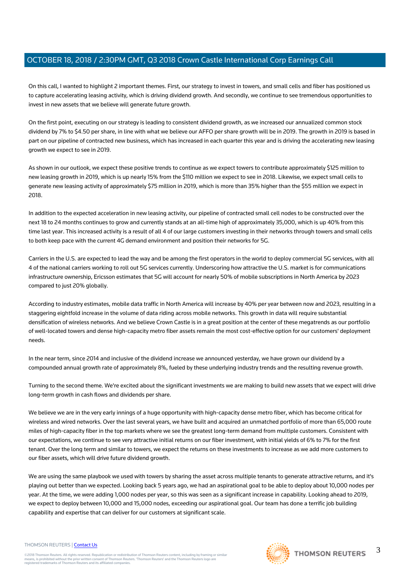On this call, I wanted to highlight 2 important themes. First, our strategy to invest in towers, and small cells and fiber has positioned us to capture accelerating leasing activity, which is driving dividend growth. And secondly, we continue to see tremendous opportunities to invest in new assets that we believe will generate future growth.

On the first point, executing on our strategy is leading to consistent dividend growth, as we increased our annualized common stock dividend by 7% to \$4.50 per share, in line with what we believe our AFFO per share growth will be in 2019. The growth in 2019 is based in part on our pipeline of contracted new business, which has increased in each quarter this year and is driving the accelerating new leasing growth we expect to see in 2019.

As shown in our outlook, we expect these positive trends to continue as we expect towers to contribute approximately \$125 million to new leasing growth in 2019, which is up nearly 15% from the \$110 million we expect to see in 2018. Likewise, we expect small cells to generate new leasing activity of approximately \$75 million in 2019, which is more than 35% higher than the \$55 million we expect in 2018.

In addition to the expected acceleration in new leasing activity, our pipeline of contracted small cell nodes to be constructed over the next 18 to 24 months continues to grow and currently stands at an all-time high of approximately 35,000, which is up 40% from this time last year. This increased activity is a result of all 4 of our large customers investing in their networks through towers and small cells to both keep pace with the current 4G demand environment and position their networks for 5G.

Carriers in the U.S. are expected to lead the way and be among the first operators in the world to deploy commercial 5G services, with all 4 of the national carriers working to roll out 5G services currently. Underscoring how attractive the U.S. market is for communications infrastructure ownership, Ericsson estimates that 5G will account for nearly 50% of mobile subscriptions in North America by 2023 compared to just 20% globally.

According to industry estimates, mobile data traffic in North America will increase by 40% per year between now and 2023, resulting in a staggering eightfold increase in the volume of data riding across mobile networks. This growth in data will require substantial densification of wireless networks. And we believe Crown Castle is in a great position at the center of these megatrends as our portfolio of well-located towers and dense high-capacity metro fiber assets remain the most cost-effective option for our customers' deployment needs.

In the near term, since 2014 and inclusive of the dividend increase we announced yesterday, we have grown our dividend by a compounded annual growth rate of approximately 8%, fueled by these underlying industry trends and the resulting revenue growth.

Turning to the second theme. We're excited about the significant investments we are making to build new assets that we expect will drive long-term growth in cash flows and dividends per share.

We believe we are in the very early innings of a huge opportunity with high-capacity dense metro fiber, which has become critical for wireless and wired networks. Over the last several years, we have built and acquired an unmatched portfolio of more than 65,000 route miles of high-capacity fiber in the top markets where we see the greatest long-term demand from multiple customers. Consistent with our expectations, we continue to see very attractive initial returns on our fiber investment, with initial yields of 6% to 7% for the first tenant. Over the long term and similar to towers, we expect the returns on these investments to increase as we add more customers to our fiber assets, which will drive future dividend growth.

We are using the same playbook we used with towers by sharing the asset across multiple tenants to generate attractive returns, and it's playing out better than we expected. Looking back 5 years ago, we had an aspirational goal to be able to deploy about 10,000 nodes per year. At the time, we were adding 1,000 nodes per year, so this was seen as a significant increase in capability. Looking ahead to 2019, we expect to deploy between 10,000 and 15,000 nodes, exceeding our aspirational goal. Our team has done a terrific job building capability and expertise that can deliver for our customers at significant scale.

#### THOMSON REUTERS | [Contact Us](https://my.thomsonreuters.com/ContactUsNew)

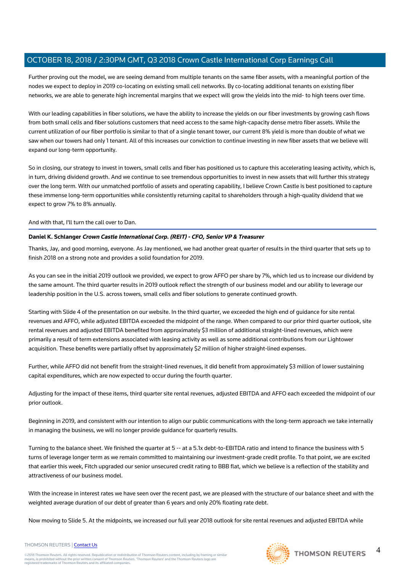Further proving out the model, we are seeing demand from multiple tenants on the same fiber assets, with a meaningful portion of the nodes we expect to deploy in 2019 co-locating on existing small cell networks. By co-locating additional tenants on existing fiber networks, we are able to generate high incremental margins that we expect will grow the yields into the mid- to high teens over time.

With our leading capabilities in fiber solutions, we have the ability to increase the yields on our fiber investments by growing cash flows from both small cells and fiber solutions customers that need access to the same high-capacity dense metro fiber assets. While the current utilization of our fiber portfolio is similar to that of a single tenant tower, our current 8% yield is more than double of what we saw when our towers had only 1 tenant. All of this increases our conviction to continue investing in new fiber assets that we believe will expand our long-term opportunity.

So in closing, our strategy to invest in towers, small cells and fiber has positioned us to capture this accelerating leasing activity, which is, in turn, driving dividend growth. And we continue to see tremendous opportunities to invest in new assets that will further this strategy over the long term. With our unmatched portfolio of assets and operating capability, I believe Crown Castle is best positioned to capture these immense long-term opportunities while consistently returning capital to shareholders through a high-quality dividend that we expect to grow 7% to 8% annually.

### And with that, I'll turn the call over to Dan.

### **Daniel K. Schlanger Crown Castle International Corp. (REIT) - CFO, Senior VP & Treasurer**

Thanks, Jay, and good morning, everyone. As Jay mentioned, we had another great quarter of results in the third quarter that sets up to finish 2018 on a strong note and provides a solid foundation for 2019.

As you can see in the initial 2019 outlook we provided, we expect to grow AFFO per share by 7%, which led us to increase our dividend by the same amount. The third quarter results in 2019 outlook reflect the strength of our business model and our ability to leverage our leadership position in the U.S. across towers, small cells and fiber solutions to generate continued growth.

Starting with Slide 4 of the presentation on our website. In the third quarter, we exceeded the high end of guidance for site rental revenues and AFFO, while adjusted EBITDA exceeded the midpoint of the range. When compared to our prior third quarter outlook, site rental revenues and adjusted EBITDA benefited from approximately \$3 million of additional straight-lined revenues, which were primarily a result of term extensions associated with leasing activity as well as some additional contributions from our Lightower acquisition. These benefits were partially offset by approximately \$2 million of higher straight-lined expenses.

Further, while AFFO did not benefit from the straight-lined revenues, it did benefit from approximately \$3 million of lower sustaining capital expenditures, which are now expected to occur during the fourth quarter.

Adjusting for the impact of these items, third quarter site rental revenues, adjusted EBITDA and AFFO each exceeded the midpoint of our prior outlook.

Beginning in 2019, and consistent with our intention to align our public communications with the long-term approach we take internally in managing the business, we will no longer provide guidance for quarterly results.

Turning to the balance sheet. We finished the quarter at 5 -- at a 5.1x debt-to-EBITDA ratio and intend to finance the business with 5 turns of leverage longer term as we remain committed to maintaining our investment-grade credit profile. To that point, we are excited that earlier this week, Fitch upgraded our senior unsecured credit rating to BBB flat, which we believe is a reflection of the stability and attractiveness of our business model.

With the increase in interest rates we have seen over the recent past, we are pleased with the structure of our balance sheet and with the weighted average duration of our debt of greater than 6 years and only 20% floating rate debt.

Now moving to Slide 5. At the midpoints, we increased our full year 2018 outlook for site rental revenues and adjusted EBITDA while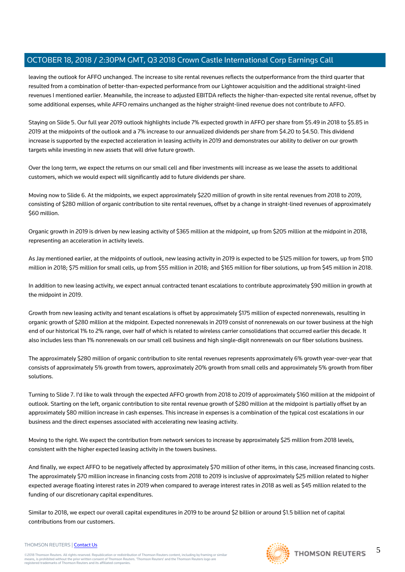leaving the outlook for AFFO unchanged. The increase to site rental revenues reflects the outperformance from the third quarter that resulted from a combination of better-than-expected performance from our Lightower acquisition and the additional straight-lined revenues I mentioned earlier. Meanwhile, the increase to adjusted EBITDA reflects the higher-than-expected site rental revenue, offset by some additional expenses, while AFFO remains unchanged as the higher straight-lined revenue does not contribute to AFFO.

Staying on Slide 5. Our full year 2019 outlook highlights include 7% expected growth in AFFO per share from \$5.49 in 2018 to \$5.85 in 2019 at the midpoints of the outlook and a 7% increase to our annualized dividends per share from \$4.20 to \$4.50. This dividend increase is supported by the expected acceleration in leasing activity in 2019 and demonstrates our ability to deliver on our growth targets while investing in new assets that will drive future growth.

Over the long term, we expect the returns on our small cell and fiber investments will increase as we lease the assets to additional customers, which we would expect will significantly add to future dividends per share.

Moving now to Slide 6. At the midpoints, we expect approximately \$220 million of growth in site rental revenues from 2018 to 2019, consisting of \$280 million of organic contribution to site rental revenues, offset by a change in straight-lined revenues of approximately \$60 million.

Organic growth in 2019 is driven by new leasing activity of \$365 million at the midpoint, up from \$205 million at the midpoint in 2018, representing an acceleration in activity levels.

As Jay mentioned earlier, at the midpoints of outlook, new leasing activity in 2019 is expected to be \$125 million for towers, up from \$110 million in 2018; \$75 million for small cells, up from \$55 million in 2018; and \$165 million for fiber solutions, up from \$45 million in 2018.

In addition to new leasing activity, we expect annual contracted tenant escalations to contribute approximately \$90 million in growth at the midpoint in 2019.

Growth from new leasing activity and tenant escalations is offset by approximately \$175 million of expected nonrenewals, resulting in organic growth of \$280 million at the midpoint. Expected nonrenewals in 2019 consist of nonrenewals on our tower business at the high end of our historical 1% to 2% range, over half of which is related to wireless carrier consolidations that occurred earlier this decade. It also includes less than 1% nonrenewals on our small cell business and high single-digit nonrenewals on our fiber solutions business.

The approximately \$280 million of organic contribution to site rental revenues represents approximately 6% growth year-over-year that consists of approximately 5% growth from towers, approximately 20% growth from small cells and approximately 5% growth from fiber solutions.

Turning to Slide 7. I'd like to walk through the expected AFFO growth from 2018 to 2019 of approximately \$160 million at the midpoint of outlook. Starting on the left, organic contribution to site rental revenue growth of \$280 million at the midpoint is partially offset by an approximately \$80 million increase in cash expenses. This increase in expenses is a combination of the typical cost escalations in our business and the direct expenses associated with accelerating new leasing activity.

Moving to the right. We expect the contribution from network services to increase by approximately \$25 million from 2018 levels, consistent with the higher expected leasing activity in the towers business.

And finally, we expect AFFO to be negatively affected by approximately \$70 million of other items, in this case, increased financing costs. The approximately \$70 million increase in financing costs from 2018 to 2019 is inclusive of approximately \$25 million related to higher expected average floating interest rates in 2019 when compared to average interest rates in 2018 as well as \$45 million related to the funding of our discretionary capital expenditures.

Similar to 2018, we expect our overall capital expenditures in 2019 to be around \$2 billion or around \$1.5 billion net of capital contributions from our customers.

#### THOMSON REUTERS | [Contact Us](https://my.thomsonreuters.com/ContactUsNew)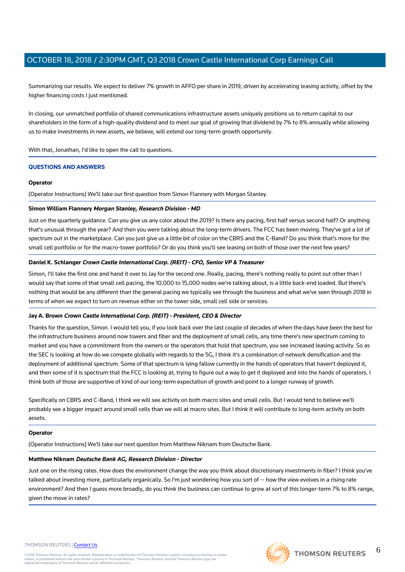Summarizing our results. We expect to deliver 7% growth in AFFO per share in 2019, driven by accelerating leasing activity, offset by the higher financing costs I just mentioned.

In closing, our unmatched portfolio of shared communications infrastructure assets uniquely positions us to return capital to our shareholders in the form of a high-quality dividend and to meet our goal of growing that dividend by 7% to 8% annually while allowing us to make investments in new assets, we believe, will extend our long-term growth opportunity.

With that, Jonathan, I'd like to open the call to questions.

#### **QUESTIONS AND ANSWERS**

#### **Operator**

(Operator Instructions) We'll take our first question from Simon Flannery with Morgan Stanley.

#### **Simon William Flannery Morgan Stanley, Research Division - MD**

Just on the quarterly guidance. Can you give us any color about the 2019? Is there any pacing, first half versus second half? Or anything that's unusual through the year? And then you were talking about the long-term drivers. The FCC has been moving. They've got a lot of spectrum out in the marketplace. Can you just give us a little bit of color on the CBRS and the C-Band? Do you think that's more for the small cell portfolio or for the macro-tower portfolio? Or do you think you'll see leasing on both of those over the next few years?

#### **Daniel K. Schlanger Crown Castle International Corp. (REIT) - CFO, Senior VP & Treasurer**

Simon, I'll take the first one and hand it over to Jay for the second one. Really, pacing, there's nothing really to point out other than I would say that some of that small cell pacing, the 10,000 to 15,000 nodes we're talking about, is a little back-end loaded. But there's nothing that would be any different than the general pacing we typically see through the business and what we've seen through 2018 in terms of when we expect to turn on revenue either on the tower side, small cell side or services.

#### **Jay A. Brown Crown Castle International Corp. (REIT) - President, CEO & Director**

Thanks for the question, Simon. I would tell you, if you look back over the last couple of decades of when the days have been the best for the infrastructure business around now towers and fiber and the deployment of small cells, any time there's new spectrum coming to market and you have a commitment from the owners or the operators that hold that spectrum, you see increased leasing activity. So as the SEC is looking at how do we compete globally with regards to the 5G, I think it's a combination of network densification and the deployment of additional spectrum. Some of that spectrum is lying fallow currently in the hands of operators that haven't deployed it, and then some of it is spectrum that the FCC is looking at, trying to figure out a way to get it deployed and into the hands of operators. I think both of those are supportive of kind of our long-term expectation of growth and point to a longer runway of growth.

Specifically on CBRS and C-Band, I think we will see activity on both macro sites and small cells. But I would tend to believe we'll probably see a bigger impact around small cells than we will at macro sites. But I think it will contribute to long-term activity on both assets.

#### **Operator**

(Operator Instructions) We'll take our next question from Matthew Niknam from Deutsche Bank.

#### **Matthew Niknam Deutsche Bank AG, Research Division - Director**

Just one on the rising rates. How does the environment change the way you think about discretionary investments in fiber? I think you've talked about investing more, particularly organically. So I'm just wondering how you sort of -- how the view evolves in a rising rate environment? And then I guess more broadly, do you think the business can continue to grow at sort of this longer-term 7% to 8% range, given the move in rates?

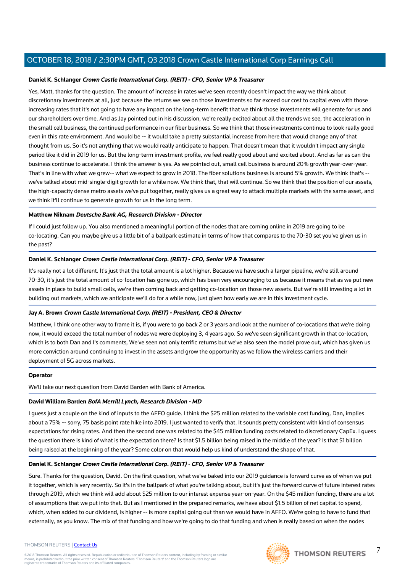#### **Daniel K. Schlanger Crown Castle International Corp. (REIT) - CFO, Senior VP & Treasurer**

Yes, Matt, thanks for the question. The amount of increase in rates we've seen recently doesn't impact the way we think about discretionary investments at all, just because the returns we see on those investments so far exceed our cost to capital even with those increasing rates that it's not going to have any impact on the long-term benefit that we think those investments will generate for us and our shareholders over time. And as Jay pointed out in his discussion, we're really excited about all the trends we see, the acceleration in the small cell business, the continued performance in our fiber business. So we think that those investments continue to look really good even in this rate environment. And would be -- it would take a pretty substantial increase from here that would change any of that thought from us. So it's not anything that we would really anticipate to happen. That doesn't mean that it wouldn't impact any single period like it did in 2019 for us. But the long-term investment profile, we feel really good about and excited about. And as far as can the business continue to accelerate. I think the answer is yes. As we pointed out, small cell business is around 20% growth year-over-year. That's in line with what we grew-- what we expect to grow in 2018. The fiber solutions business is around 5% growth. We think that's - we've talked about mid-single-digit growth for a while now. We think that, that will continue. So we think that the position of our assets, the high-capacity dense metro assets we've put together, really gives us a great way to attack multiple markets with the same asset, and we think it'll continue to generate growth for us in the long term.

#### **Matthew Niknam Deutsche Bank AG, Research Division - Director**

If I could just follow up. You also mentioned a meaningful portion of the nodes that are coming online in 2019 are going to be co-locating. Can you maybe give us a little bit of a ballpark estimate in terms of how that compares to the 70-30 set you've given us in the past?

#### **Daniel K. Schlanger Crown Castle International Corp. (REIT) - CFO, Senior VP & Treasurer**

It's really not a lot different. It's just that the total amount is a lot higher. Because we have such a larger pipeline, we're still around 70-30, it's just the total amount of co-location has gone up, which has been very encouraging to us because it means that as we put new assets in place to build small cells, we're then coming back and getting co-location on those new assets. But we're still investing a lot in building out markets, which we anticipate we'll do for a while now, just given how early we are in this investment cycle.

#### **Jay A. Brown Crown Castle International Corp. (REIT) - President, CEO & Director**

Matthew, I think one other way to frame it is, if you were to go back 2 or 3 years and look at the number of co-locations that we're doing now, it would exceed the total number of nodes we were deploying 3, 4 years ago. So we've seen significant growth in that co-location, which is to both Dan and I's comments, We've seen not only terrific returns but we've also seen the model prove out, which has given us more conviction around continuing to invest in the assets and grow the opportunity as we follow the wireless carriers and their deployment of 5G across markets.

#### **Operator**

We'll take our next question from David Barden with Bank of America.

### **David William Barden BofA Merrill Lynch, Research Division - MD**

I guess just a couple on the kind of inputs to the AFFO guide. I think the \$25 million related to the variable cost funding, Dan, implies about a 75% -- sorry, 75 basis point rate hike into 2019. I just wanted to verify that. It sounds pretty consistent with kind of consensus expectations for rising rates. And then the second one was related to the \$45 million funding costs related to discretionary CapEx. I guess the question there is kind of what is the expectation there? Is that \$1.5 billion being raised in the middle of the year? Is that \$1 billion being raised at the beginning of the year? Some color on that would help us kind of understand the shape of that.

### **Daniel K. Schlanger Crown Castle International Corp. (REIT) - CFO, Senior VP & Treasurer**

Sure. Thanks for the question, David. On the first question, what we've baked into our 2019 guidance is forward curve as of when we put it together, which is very recently. So it's in the ballpark of what you're talking about, but it's just the forward curve of future interest rates through 2019, which we think will add about \$25 million to our interest expense year-on-year. On the \$45 million funding, there are a lot of assumptions that we put into that. But as I mentioned in the prepared remarks, we have about \$1.5 billion of net capital to spend, which, when added to our dividend, is higher -- is more capital going out than we would have in AFFO. We're going to have to fund that externally, as you know. The mix of that funding and how we're going to do that funding and when is really based on when the nodes

7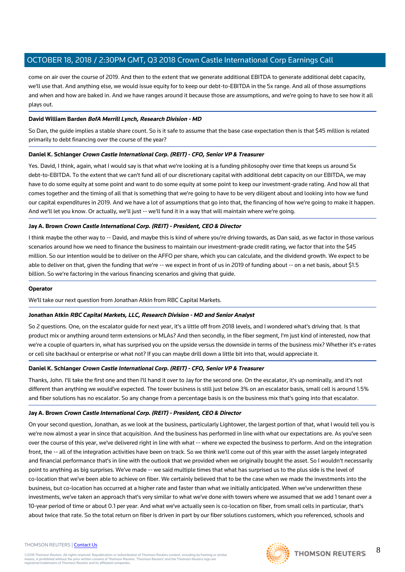come on air over the course of 2019. And then to the extent that we generate additional EBITDA to generate additional debt capacity, we'll use that. And anything else, we would issue equity for to keep our debt-to-EBITDA in the 5x range. And all of those assumptions and when and how are baked in. And we have ranges around it because those are assumptions, and we're going to have to see how it all plays out.

#### **David William Barden BofA Merrill Lynch, Research Division - MD**

So Dan, the guide implies a stable share count. So is it safe to assume that the base case expectation then is that \$45 million is related primarily to debt financing over the course of the year?

#### **Daniel K. Schlanger Crown Castle International Corp. (REIT) - CFO, Senior VP & Treasurer**

Yes. David, I think, again, what I would say is that what we're looking at is a funding philosophy over time that keeps us around 5x debt-to-EBITDA. To the extent that we can't fund all of our discretionary capital with additional debt capacity on our EBITDA, we may have to do some equity at some point and want to do some equity at some point to keep our investment-grade rating. And how all that comes together and the timing of all that is something that we're going to have to be very diligent about and looking into how we fund our capital expenditures in 2019. And we have a lot of assumptions that go into that, the financing of how we're going to make it happen. And we'll let you know. Or actually, we'll just -- we'll fund it in a way that will maintain where we're going.

#### **Jay A. Brown Crown Castle International Corp. (REIT) - President, CEO & Director**

I think maybe the other way to -- David, and maybe this is kind of where you're driving towards, as Dan said, as we factor in those various scenarios around how we need to finance the business to maintain our investment-grade credit rating, we factor that into the \$45 million. So our intention would be to deliver on the AFFO per share, which you can calculate, and the dividend growth. We expect to be able to deliver on that, given the funding that we're -- we expect in front of us in 2019 of funding about -- on a net basis, about \$1.5 billion. So we're factoring in the various financing scenarios and giving that guide.

#### **Operator**

We'll take our next question from Jonathan Atkin from RBC Capital Markets.

#### **Jonathan Atkin RBC Capital Markets, LLC, Research Division - MD and Senior Analyst**

So 2 questions. One, on the escalator guide for next year, it's a little off from 2018 levels, and I wondered what's driving that. Is that product mix or anything around term extensions or MLAs? And then secondly, in the fiber segment, I'm just kind of interested, now that we're a couple of quarters in, what has surprised you on the upside versus the downside in terms of the business mix? Whether it's e-rates or cell site backhaul or enterprise or what not? If you can maybe drill down a little bit into that, would appreciate it.

#### **Daniel K. Schlanger Crown Castle International Corp. (REIT) - CFO, Senior VP & Treasurer**

Thanks, John. I'll take the first one and then I'll hand it over to Jay for the second one. On the escalator, it's up nominally, and it's not different than anything we would've expected. The tower business is still just below 3% on an escalator basis, small cell is around 1.5% and fiber solutions has no escalator. So any change from a percentage basis is on the business mix that's going into that escalator.

#### **Jay A. Brown Crown Castle International Corp. (REIT) - President, CEO & Director**

On your second question, Jonathan, as we look at the business, particularly Lightower, the largest portion of that, what I would tell you is we're now almost a year in since that acquisition. And the business has performed in line with what our expectations are. As you've seen over the course of this year, we've delivered right in line with what -- where we expected the business to perform. And on the integration front, the -- all of the integration activities have been on track. So we think we'll come out of this year with the asset largely integrated and financial performance that's in line with the outlook that we provided when we originally bought the asset. So I wouldn't necessarily point to anything as big surprises. We've made -- we said multiple times that what has surprised us to the plus side is the level of co-location that we've been able to achieve on fiber. We certainly believed that to be the case when we made the investments into the business, but co-location has occurred at a higher rate and faster than what we initially anticipated. When we've underwritten these investments, we've taken an approach that's very similar to what we've done with towers where we assumed that we add 1 tenant over a 10-year period of time or about 0.1 per year. And what we've actually seen is co-location on fiber, from small cells in particular, that's about twice that rate. So the total return on fiber is driven in part by our fiber solutions customers, which you referenced, schools and

#### THOMSON REUTERS | [Contact Us](https://my.thomsonreuters.com/ContactUsNew)

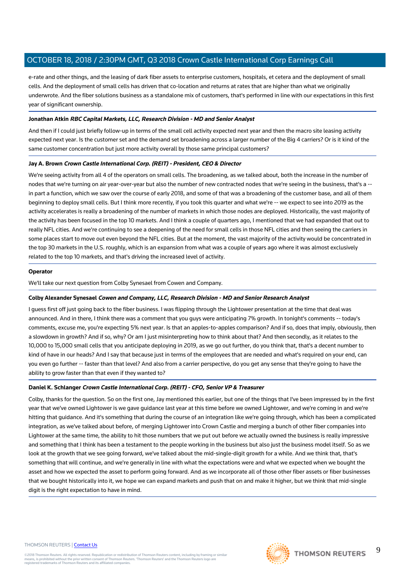e-rate and other things, and the leasing of dark fiber assets to enterprise customers, hospitals, et cetera and the deployment of small cells. And the deployment of small cells has driven that co-location and returns at rates that are higher than what we originally underwrote. And the fiber solutions business as a standalone mix of customers, that's performed in line with our expectations in this first year of significant ownership.

#### **Jonathan Atkin RBC Capital Markets, LLC, Research Division - MD and Senior Analyst**

And then if I could just briefly follow-up in terms of the small cell activity expected next year and then the macro site leasing activity expected next year. Is the customer set and the demand set broadening across a larger number of the Big 4 carriers? Or is it kind of the same customer concentration but just more activity overall by those same principal customers?

#### **Jay A. Brown Crown Castle International Corp. (REIT) - President, CEO & Director**

We're seeing activity from all 4 of the operators on small cells. The broadening, as we talked about, both the increase in the number of nodes that we're turning on air year-over-year but also the number of new contracted nodes that we're seeing in the business, that's a - in part a function, which we saw over the course of early 2018, and some of that was a broadening of the customer base, and all of them beginning to deploy small cells. But I think more recently, if you took this quarter and what we're -- we expect to see into 2019 as the activity accelerates is really a broadening of the number of markets in which those nodes are deployed. Historically, the vast majority of the activity has been focused in the top 10 markets. And I think a couple of quarters ago, I mentioned that we had expanded that out to really NFL cities. And we're continuing to see a deepening of the need for small cells in those NFL cities and then seeing the carriers in some places start to move out even beyond the NFL cities. But at the moment, the vast majority of the activity would be concentrated in the top 30 markets in the U.S. roughly, which is an expansion from what was a couple of years ago where it was almost exclusively related to the top 10 markets, and that's driving the increased level of activity.

#### **Operator**

We'll take our next question from Colby Synesael from Cowen and Company.

#### **Colby Alexander Synesael Cowen and Company, LLC, Research Division - MD and Senior Research Analyst**

I guess first off just going back to the fiber business. I was flipping through the Lightower presentation at the time that deal was announced. And in there, I think there was a comment that you guys were anticipating 7% growth. In tonight's comments -- today's comments, excuse me, you're expecting 5% next year. Is that an apples-to-apples comparison? And if so, does that imply, obviously, then a slowdown in growth? And if so, why? Or am I just misinterpreting how to think about that? And then secondly, as it relates to the 10,000 to 15,000 small cells that you anticipate deploying in 2019, as we go out further, do you think that, that's a decent number to kind of have in our heads? And I say that because just in terms of the employees that are needed and what's required on your end, can you even go further -- faster than that level? And also from a carrier perspective, do you get any sense that they're going to have the ability to grow faster than that even if they wanted to?

#### **Daniel K. Schlanger Crown Castle International Corp. (REIT) - CFO, Senior VP & Treasurer**

Colby, thanks for the question. So on the first one, Jay mentioned this earlier, but one of the things that I've been impressed by in the first year that we've owned Lightower is we gave guidance last year at this time before we owned Lightower, and we're coming in and we're hitting that guidance. And it's something that during the course of an integration like we're going through, which has been a complicated integration, as we've talked about before, of merging Lightower into Crown Castle and merging a bunch of other fiber companies into Lightower at the same time, the ability to hit those numbers that we put out before we actually owned the business is really impressive and something that I think has been a testament to the people working in the business but also just the business model itself. So as we look at the growth that we see going forward, we've talked about the mid-single-digit growth for a while. And we think that, that's something that will continue, and we're generally in line with what the expectations were and what we expected when we bought the asset and how we expected the asset to perform going forward. And as we incorporate all of those other fiber assets or fiber businesses that we bought historically into it, we hope we can expand markets and push that on and make it higher, but we think that mid-single digit is the right expectation to have in mind.

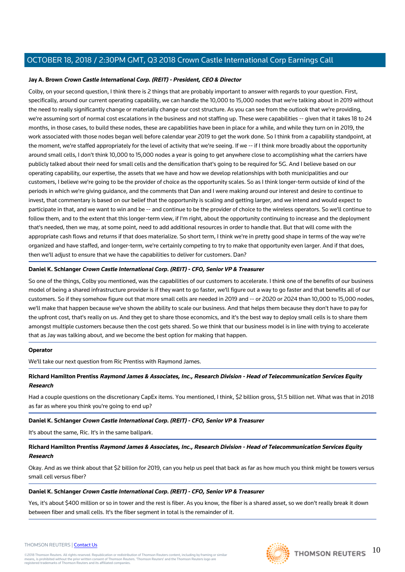#### **Jay A. Brown Crown Castle International Corp. (REIT) - President, CEO & Director**

Colby, on your second question, I think there is 2 things that are probably important to answer with regards to your question. First, specifically, around our current operating capability, we can handle the 10,000 to 15,000 nodes that we're talking about in 2019 without the need to really significantly change or materially change our cost structure. As you can see from the outlook that we're providing, we're assuming sort of normal cost escalations in the business and not staffing up. These were capabilities -- given that it takes 18 to 24 months, in those cases, to build these nodes, these are capabilities have been in place for a while, and while they turn on in 2019, the work associated with those nodes began well before calendar year 2019 to get the work done. So I think from a capability standpoint, at the moment, we're staffed appropriately for the level of activity that we're seeing. If we -- if I think more broadly about the opportunity around small cells, I don't think 10,000 to 15,000 nodes a year is going to get anywhere close to accomplishing what the carriers have publicly talked about their need for small cells and the densification that's going to be required for 5G. And I believe based on our operating capability, our expertise, the assets that we have and how we develop relationships with both municipalities and our customers, I believe we're going to be the provider of choice as the opportunity scales. So as I think longer-term outside of kind of the periods in which we're giving guidance, and the comments that Dan and I were making around our interest and desire to continue to invest, that commentary is based on our belief that the opportunity is scaling and getting larger, and we intend and would expect to participate in that, and we want to win and be -- and continue to be the provider of choice to the wireless operators. So we'll continue to follow them, and to the extent that this longer-term view, if I'm right, about the opportunity continuing to increase and the deployment that's needed, then we may, at some point, need to add additional resources in order to handle that. But that will come with the appropriate cash flows and returns if that does materialize. So short term, I think we're in pretty good shape in terms of the way we're organized and have staffed, and longer-term, we're certainly competing to try to make that opportunity even larger. And if that does, then we'll adjust to ensure that we have the capabilities to deliver for customers. Dan?

#### **Daniel K. Schlanger Crown Castle International Corp. (REIT) - CFO, Senior VP & Treasurer**

So one of the things, Colby you mentioned, was the capabilities of our customers to accelerate. I think one of the benefits of our business model of being a shared infrastructure provider is if they want to go faster, we'll figure out a way to go faster and that benefits all of our customers. So if they somehow figure out that more small cells are needed in 2019 and -- or 2020 or 2024 than 10,000 to 15,000 nodes, we'll make that happen because we've shown the ability to scale our business. And that helps them because they don't have to pay for the upfront cost, that's really on us. And they get to share those economics, and it's the best way to deploy small cells is to share them amongst multiple customers because then the cost gets shared. So we think that our business model is in line with trying to accelerate that as Jay was talking about, and we become the best option for making that happen.

#### **Operator**

We'll take our next question from Ric Prentiss with Raymond James.

### **Richard Hamilton Prentiss Raymond James & Associates, Inc., Research Division - Head of Telecommunication Services Equity Research**

Had a couple questions on the discretionary CapEx items. You mentioned, I think, \$2 billion gross, \$1.5 billion net. What was that in 2018 as far as where you think you're going to end up?

#### **Daniel K. Schlanger Crown Castle International Corp. (REIT) - CFO, Senior VP & Treasurer**

It's about the same, Ric. It's in the same ballpark.

### **Richard Hamilton Prentiss Raymond James & Associates, Inc., Research Division - Head of Telecommunication Services Equity Research**

Okay. And as we think about that \$2 billion for 2019, can you help us peel that back as far as how much you think might be towers versus small cell versus fiber?

#### **Daniel K. Schlanger Crown Castle International Corp. (REIT) - CFO, Senior VP & Treasurer**

Yes, it's about \$400 million or so in tower and the rest is fiber. As you know, the fiber is a shared asset, so we don't really break it down between fiber and small cells. It's the fiber segment in total is the remainder of it.





#### THOMSON REUTERS | [Contact Us](https://my.thomsonreuters.com/ContactUsNew)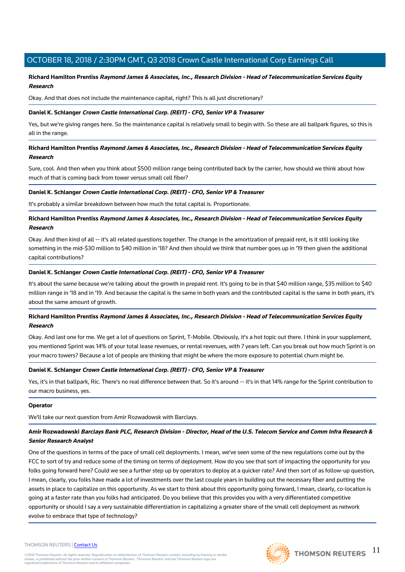### **Richard Hamilton Prentiss Raymond James & Associates, Inc., Research Division - Head of Telecommunication Services Equity Research**

Okay. And that does not include the maintenance capital, right? This is all just discretionary?

#### **Daniel K. Schlanger Crown Castle International Corp. (REIT) - CFO, Senior VP & Treasurer**

Yes, but we're giving ranges here. So the maintenance capital is relatively small to begin with. So these are all ballpark figures, so this is all in the range.

### **Richard Hamilton Prentiss Raymond James & Associates, Inc., Research Division - Head of Telecommunication Services Equity Research**

Sure, cool. And then when you think about \$500 million range being contributed back by the carrier, how should we think about how much of that is coming back from tower versus small cell fiber?

#### **Daniel K. Schlanger Crown Castle International Corp. (REIT) - CFO, Senior VP & Treasurer**

It's probably a similar breakdown between how much the total capital is. Proportionate.

**Richard Hamilton Prentiss Raymond James & Associates, Inc., Research Division - Head of Telecommunication Services Equity Research**

Okay. And then kind of all -- it's all related questions together. The change in the amortization of prepaid rent, is it still looking like something in the mid-\$30 million to \$40 million in '18? And then should we think that number goes up in '19 then given the additional capital contributions?

#### **Daniel K. Schlanger Crown Castle International Corp. (REIT) - CFO, Senior VP & Treasurer**

It's about the same because we're talking about the growth in prepaid rent. It's going to be in that \$40 million range, \$35 million to \$40 million range in '18 and in '19. And because the capital is the same in both years and the contributed capital is the same in both years, it's about the same amount of growth.

#### **Richard Hamilton Prentiss Raymond James & Associates, Inc., Research Division - Head of Telecommunication Services Equity Research**

Okay. And last one for me. We get a lot of questions on Sprint, T-Mobile. Obviously, it's a hot topic out there. I think in your supplement, you mentioned Sprint was 14% of your total lease revenues, or rental revenues, with 7 years left. Can you break out how much Sprint is on your macro towers? Because a lot of people are thinking that might be where the more exposure to potential churn might be.

#### **Daniel K. Schlanger Crown Castle International Corp. (REIT) - CFO, Senior VP & Treasurer**

Yes, it's in that ballpark, Ric. There's no real difference between that. So it's around -- it's in that 14% range for the Sprint contribution to our macro business, yes.

#### **Operator**

We'll take our next question from Amir Rozwadowsk with Barclays.

### **Amir Rozwadowski Barclays Bank PLC, Research Division - Director, Head of the U.S. Telecom Service and Comm Infra Research & Senior Research Analyst**

One of the questions in terms of the pace of small cell deployments. I mean, we've seen some of the new regulations come out by the FCC to sort of try and reduce some of the timing on terms of deployment. How do you see that sort of impacting the opportunity for you folks going forward here? Could we see a further step up by operators to deploy at a quicker rate? And then sort of as follow-up question, I mean, clearly, you folks have made a lot of investments over the last couple years in building out the necessary fiber and putting the assets in place to capitalize on this opportunity. As we start to think about this opportunity going forward, I mean, clearly, co-location is going at a faster rate than you folks had anticipated. Do you believe that this provides you with a very differentiated competitive opportunity or should I say a very sustainable differentiation in capitalizing a greater share of the small cell deployment as network evolve to embrace that type of technology?

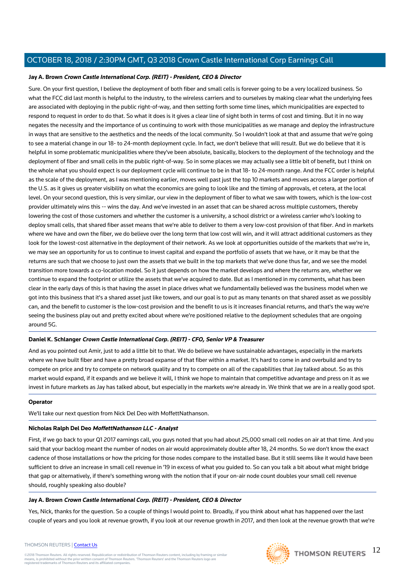#### **Jay A. Brown Crown Castle International Corp. (REIT) - President, CEO & Director**

Sure. On your first question, I believe the deployment of both fiber and small cells is forever going to be a very localized business. So what the FCC did last month is helpful to the industry, to the wireless carriers and to ourselves by making clear what the underlying fees are associated with deploying in the public right-of-way, and then setting forth some time lines, which municipalities are expected to respond to request in order to do that. So what it does is it gives a clear line of sight both in terms of cost and timing. But it in no way negates the necessity and the importance of us continuing to work with those municipalities as we manage and deploy the infrastructure in ways that are sensitive to the aesthetics and the needs of the local community. So I wouldn't look at that and assume that we're going to see a material change in our 18- to 24-month deployment cycle. In fact, we don't believe that will result. But we do believe that it is helpful in some problematic municipalities where they've been absolute, basically, blockers to the deployment of the technology and the deployment of fiber and small cells in the public right-of-way. So in some places we may actually see a little bit of benefit, but I think on the whole what you should expect is our deployment cycle will continue to be in that 18- to 24-month range. And the FCC order is helpful as the scale of the deployment, as I was mentioning earlier, moves well past just the top 10 markets and moves across a larger portion of the U.S. as it gives us greater visibility on what the economics are going to look like and the timing of approvals, et cetera, at the local level. On your second question, this is very similar, our view in the deployment of fiber to what we saw with towers, which is the low-cost provider ultimately wins this -- wins the day. And we've invested in an asset that can be shared across multiple customers, thereby lowering the cost of those customers and whether the customer is a university, a school district or a wireless carrier who's looking to deploy small cells, that shared fiber asset means that we're able to deliver to them a very low-cost provision of that fiber. And in markets where we have and own the fiber, we do believe over the long term that low cost will win, and it will attract additional customers as they look for the lowest-cost alternative in the deployment of their network. As we look at opportunities outside of the markets that we're in, we may see an opportunity for us to continue to invest capital and expand the portfolio of assets that we have, or it may be that the returns are such that we choose to just own the assets that we built in the top markets that we've done thus far, and we see the model transition more towards a co-location model. So it just depends on how the market develops and where the returns are, whether we continue to expand the footprint or utilize the assets that we've acquired to date. But as I mentioned in my comments, what has been clear in the early days of this is that having the asset in place drives what we fundamentally believed was the business model when we got into this business that it's a shared asset just like towers, and our goal is to put as many tenants on that shared asset as we possibly can, and the benefit to customer is the low-cost provision and the benefit to us is it increases financial returns, and that's the way we're seeing the business play out and pretty excited about where we're positioned relative to the deployment schedules that are ongoing around 5G.

#### **Daniel K. Schlanger Crown Castle International Corp. (REIT) - CFO, Senior VP & Treasurer**

And as you pointed out Amir, just to add a little bit to that. We do believe we have sustainable advantages, especially in the markets where we have built fiber and have a pretty broad expanse of that fiber within a market. It's hard to come in and overbuild and try to compete on price and try to compete on network quality and try to compete on all of the capabilities that Jay talked about. So as this market would expand, if it expands and we believe it will, I think we hope to maintain that competitive advantage and press on it as we invest in future markets as Jay has talked about, but especially in the markets we're already in. We think that we are in a really good spot.

#### **Operator**

We'll take our next question from Nick Del Deo with MoffettNathanson.

#### **Nicholas Ralph Del Deo MoffettNathanson LLC - Analyst**

First, if we go back to your Q1 2017 earnings call, you guys noted that you had about 25,000 small cell nodes on air at that time. And you said that your backlog meant the number of nodes on air would approximately double after 18, 24 months. So we don't know the exact cadence of those installations or how the pricing for those nodes compare to the installed base. But it still seems like it would have been sufficient to drive an increase in small cell revenue in '19 in excess of what you guided to. So can you talk a bit about what might bridge that gap or alternatively, if there's something wrong with the notion that if your on-air node count doubles your small cell revenue should, roughly speaking also double?

#### **Jay A. Brown Crown Castle International Corp. (REIT) - President, CEO & Director**

Yes, Nick, thanks for the question. So a couple of things I would point to. Broadly, if you think about what has happened over the last couple of years and you look at revenue growth, if you look at our revenue growth in 2017, and then look at the revenue growth that we're

#### THOMSON REUTERS | [Contact Us](https://my.thomsonreuters.com/ContactUsNew)

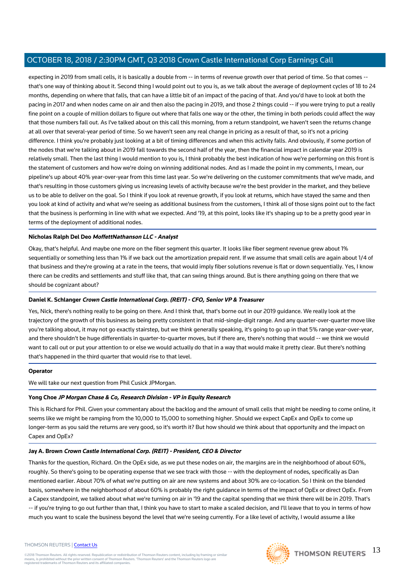expecting in 2019 from small cells, it is basically a double from -- in terms of revenue growth over that period of time. So that comes -that's one way of thinking about it. Second thing I would point out to you is, as we talk about the average of deployment cycles of 18 to 24 months, depending on where that falls, that can have a little bit of an impact of the pacing of that. And you'd have to look at both the pacing in 2017 and when nodes came on air and then also the pacing in 2019, and those 2 things could -- if you were trying to put a really fine point on a couple of million dollars to figure out where that falls one way or the other, the timing in both periods could affect the way that those numbers fall out. As I've talked about on this call this morning, from a return standpoint, we haven't seen the returns change at all over that several-year period of time. So we haven't seen any real change in pricing as a result of that, so it's not a pricing difference. I think you're probably just looking at a bit of timing differences and when this activity falls. And obviously, if some portion of the nodes that we're talking about in 2019 fall towards the second half of the year, then the financial impact in calendar year 2019 is relatively small. Then the last thing I would mention to you is, I think probably the best indication of how we're performing on this front is the statement of customers and how we're doing on winning additional nodes. And as I made the point in my comments, I mean, our pipeline's up about 40% year-over-year from this time last year. So we're delivering on the customer commitments that we've made, and that's resulting in those customers giving us increasing levels of activity because we're the best provider in the market, and they believe us to be able to deliver on the goal. So I think if you look at revenue growth, if you look at returns, which have stayed the same and then you look at kind of activity and what we're seeing as additional business from the customers, I think all of those signs point out to the fact that the business is performing in line with what we expected. And '19, at this point, looks like it's shaping up to be a pretty good year in terms of the deployment of additional nodes.

#### **Nicholas Ralph Del Deo MoffettNathanson LLC - Analyst**

Okay, that's helpful. And maybe one more on the fiber segment this quarter. It looks like fiber segment revenue grew about 1% sequentially or something less than 1% if we back out the amortization prepaid rent. If we assume that small cells are again about 1/4 of that business and they're growing at a rate in the teens, that would imply fiber solutions revenue is flat or down sequentially. Yes, I know there can be credits and settlements and stuff like that, that can swing things around. But is there anything going on there that we should be cognizant about?

#### **Daniel K. Schlanger Crown Castle International Corp. (REIT) - CFO, Senior VP & Treasurer**

Yes, Nick, there's nothing really to be going on there. And I think that, that's borne out in our 2019 guidance. We really look at the trajectory of the growth of this business as being pretty consistent in that mid-single-digit range. And any quarter-over-quarter move like you're talking about, it may not go exactly stairstep, but we think generally speaking, it's going to go up in that 5% range year-over-year, and there shouldn't be huge differentials in quarter-to-quarter moves, but if there are, there's nothing that would -- we think we would want to call out or put your attention to or else we would actually do that in a way that would make it pretty clear. But there's nothing that's happened in the third quarter that would rise to that level.

#### **Operator**

We will take our next question from Phil Cusick JPMorgan.

#### **Yong Choe JP Morgan Chase & Co, Research Division - VP in Equity Research**

This is Richard for Phil. Given your commentary about the backlog and the amount of small cells that might be needing to come online, it seems like we might be ramping from the 10,000 to 15,000 to something higher. Should we expect CapEx and OpEx to come up longer-term as you said the returns are very good, so it's worth it? But how should we think about that opportunity and the impact on Capex and OpEx?

#### **Jay A. Brown Crown Castle International Corp. (REIT) - President, CEO & Director**

Thanks for the question, Richard. On the OpEx side, as we put these nodes on air, the margins are in the neighborhood of about 60%, roughly. So there's going to be operating expense that we see track with those -- with the deployment of nodes, specifically as Dan mentioned earlier. About 70% of what we're putting on air are new systems and about 30% are co-location. So I think on the blended basis, somewhere in the neighborhood of about 60% is probably the right guidance in terms of the impact of OpEx or direct OpEx. From a Capex standpoint, we talked about what we're turning on air in '19 and the capital spending that we think there will be in 2019. That's -- if you're trying to go out further than that, I think you have to start to make a scaled decision, and I'll leave that to you in terms of how much you want to scale the business beyond the level that we're seeing currently. For a like level of activity, I would assume a like

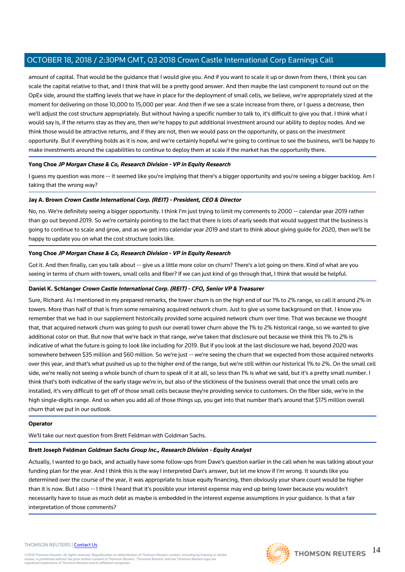amount of capital. That would be the guidance that I would give you. And if you want to scale it up or down from there, I think you can scale the capital relative to that, and I think that will be a pretty good answer. And then maybe the last component to round out on the OpEx side, around the staffing levels that we have in place for the deployment of small cells, we believe, we're appropriately sized at the moment for delivering on those 10,000 to 15,000 per year. And then if we see a scale increase from there, or I guess a decrease, then we'll adjust the cost structure appropriately. But without having a specific number to talk to, it's difficult to give you that. I think what I would say is, if the returns stay as they are, then we're happy to put additional investment around our ability to deploy nodes. And we think those would be attractive returns, and if they are not, then we would pass on the opportunity, or pass on the investment opportunity. But if everything holds as it is now, and we're certainly hopeful we're going to continue to see the business, we'll be happy to make investments around the capabilities to continue to deploy them at scale if the market has the opportunity there.

#### **Yong Choe JP Morgan Chase & Co, Research Division - VP in Equity Research**

I guess my question was more -- it seemed like you're implying that there's a bigger opportunity and you're seeing a bigger backlog. Am I taking that the wrong way?

#### **Jay A. Brown Crown Castle International Corp. (REIT) - President, CEO & Director**

No, no. We're definitely seeing a bigger opportunity. I think I'm just trying to limit my comments to 2000 -- calendar year 2019 rather than go out beyond 2019. So we're certainly pointing to the fact that there is lots of early seeds that would suggest that the business is going to continue to scale and grow, and as we get into calendar year 2019 and start to think about giving guide for 2020, then we'll be happy to update you on what the cost structure looks like.

#### **Yong Choe JP Morgan Chase & Co, Research Division - VP in Equity Research**

Got it. And then finally, can you talk about -- give us a little more color on churn? There's a lot going on there. Kind of what are you seeing in terms of churn with towers, small cells and fiber? If we can just kind of go through that, I think that would be helpful.

#### **Daniel K. Schlanger Crown Castle International Corp. (REIT) - CFO, Senior VP & Treasurer**

Sure, Richard. As I mentioned in my prepared remarks, the tower churn is on the high end of our 1% to 2% range, so call it around 2% in towers. More than half of that is from some remaining acquired network churn. Just to give us some background on that. I know you remember that we had in our supplement historically provided some acquired network churn over time. That was because we thought that, that acquired network churn was going to push our overall tower churn above the 1% to 2% historical range, so we wanted to give additional color on that. But now that we're back in that range, we've taken that disclosure out because we think this 1% to 2% is indicative of what the future is going to look like including for 2019. But if you look at the last disclosure we had, beyond 2020 was somewhere between \$35 million and \$60 million. So we're just -- we're seeing the churn that we expected from those acquired networks over this year, and that's what pushed us up to the higher end of the range, but we're still within our historical 1% to 2%. On the small cell side, we're really not seeing a whole bunch of churn to speak of it at all, so less than 1% is what we said, but it's a pretty small number. I think that's both indicative of the early stage we're in, but also of the stickiness of the business overall that once the small cells are installed, it's very difficult to get off of those small cells because they're providing service to customers. On the fiber side, we're in the high single-digits range. And so when you add all of those things up, you get into that number that's around that \$175 million overall churn that we put in our outlook.

#### **Operator**

We'll take our next question from Brett Feldman with Goldman Sachs.

#### **Brett Joseph Feldman Goldman Sachs Group Inc., Research Division - Equity Analyst**

Actually, I wanted to go back, and actually have some follow-ups from Dave's question earlier in the call when he was talking about your funding plan for the year. And I think this is the way I interpreted Dan's answer, but let me know if I'm wrong. It sounds like you determined over the course of the year, it was appropriate to issue equity financing, then obviously your share count would be higher than it is now. But I also -- I think I heard that it's possible your interest expense may end up being lower because you wouldn't necessarily have to issue as much debt as maybe is embedded in the interest expense assumptions in your guidance. Is that a fair interpretation of those comments?

#### THOMSON REUTERS | [Contact Us](https://my.thomsonreuters.com/ContactUsNew)

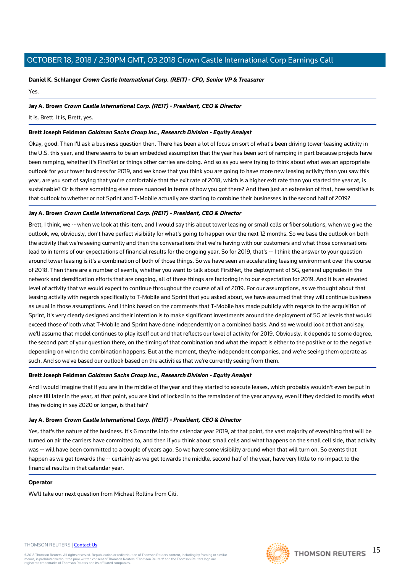## **Daniel K. Schlanger Crown Castle International Corp. (REIT) - CFO, Senior VP & Treasurer**

Yes.

#### **Jay A. Brown Crown Castle International Corp. (REIT) - President, CEO & Director**

It is, Brett. It is, Brett, yes.

#### **Brett Joseph Feldman Goldman Sachs Group Inc., Research Division - Equity Analyst**

Okay, good. Then I'll ask a business question then. There has been a lot of focus on sort of what's been driving tower-leasing activity in the U.S. this year, and there seems to be an embedded assumption that the year has been sort of ramping in part because projects have been ramping, whether it's FirstNet or things other carries are doing. And so as you were trying to think about what was an appropriate outlook for your tower business for 2019, and we know that you think you are going to have more new leasing activity than you saw this year, are you sort of saying that you're comfortable that the exit rate of 2018, which is a higher exit rate than you started the year at, is sustainable? Or is there something else more nuanced in terms of how you got there? And then just an extension of that, how sensitive is that outlook to whether or not Sprint and T-Mobile actually are starting to combine their businesses in the second half of 2019?

### **Jay A. Brown Crown Castle International Corp. (REIT) - President, CEO & Director**

Brett, I think, we -- when we look at this item, and I would say this about tower leasing or small cells or fiber solutions, when we give the outlook, we, obviously, don't have perfect visibility for what's going to happen over the next 12 months. So we base the outlook on both the activity that we're seeing currently and then the conversations that we're having with our customers and what those conversations lead to in terms of our expectations of financial results for the ongoing year. So for 2019, that's -- I think the answer to your question around tower leasing is it's a combination of both of those things. So we have seen an accelerating leasing environment over the course of 2018. Then there are a number of events, whether you want to talk about FirstNet, the deployment of 5G, general upgrades in the network and densification efforts that are ongoing, all of those things are factoring in to our expectation for 2019. And it is an elevated level of activity that we would expect to continue throughout the course of all of 2019. For our assumptions, as we thought about that leasing activity with regards specifically to T-Mobile and Sprint that you asked about, we have assumed that they will continue business as usual in those assumptions. And I think based on the comments that T-Mobile has made publicly with regards to the acquisition of Sprint, it's very clearly designed and their intention is to make significant investments around the deployment of 5G at levels that would exceed those of both what T-Mobile and Sprint have done independently on a combined basis. And so we would look at that and say, we'll assume that model continues to play itself out and that reflects our level of activity for 2019. Obviously, it depends to some degree, the second part of your question there, on the timing of that combination and what the impact is either to the positive or to the negative depending on when the combination happens. But at the moment, they're independent companies, and we're seeing them operate as such. And so we've based our outlook based on the activities that we're currently seeing from them.

### **Brett Joseph Feldman Goldman Sachs Group Inc., Research Division - Equity Analyst**

And I would imagine that if you are in the middle of the year and they started to execute leases, which probably wouldn't even be put in place till later in the year, at that point, you are kind of locked in to the remainder of the year anyway, even if they decided to modify what they're doing in say 2020 or longer, is that fair?

#### **Jay A. Brown Crown Castle International Corp. (REIT) - President, CEO & Director**

Yes, that's the nature of the business. It's 6 months into the calendar year 2019, at that point, the vast majority of everything that will be turned on air the carriers have committed to, and then if you think about small cells and what happens on the small cell side, that activity was -- will have been committed to a couple of years ago. So we have some visibility around when that will turn on. So events that happen as we get towards the -- certainly as we get towards the middle, second half of the year, have very little to no impact to the financial results in that calendar year.

#### **Operator**

We'll take our next question from Michael Rollins from Citi.

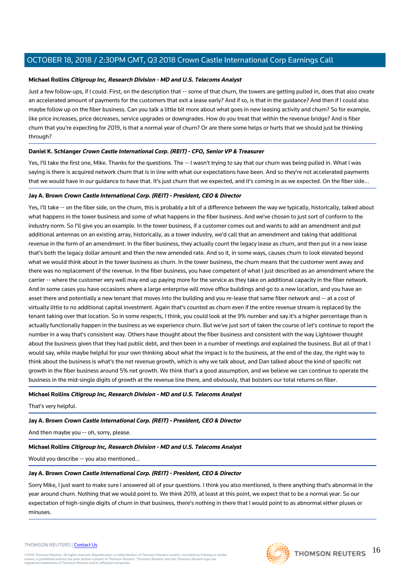#### **Michael Rollins Citigroup Inc, Research Division - MD and U.S. Telecoms Analyst**

Just a few follow-ups, if I could. First, on the description that -- some of that churn, the towers are getting pulled in, does that also create an accelerated amount of payments for the customers that exit a lease early? And if so, is that in the guidance? And then if I could also maybe follow up on the fiber business. Can you talk a little bit more about what goes in new leasing activity and churn? So for example, like price increases, price decreases, service upgrades or downgrades. How do you treat that within the revenue bridge? And is fiber churn that you're expecting for 2019, is that a normal year of churn? Or are there some helps or hurts that we should just be thinking through?

#### **Daniel K. Schlanger Crown Castle International Corp. (REIT) - CFO, Senior VP & Treasurer**

Yes, I'll take the first one, Mike. Thanks for the questions. The -- I wasn't trying to say that our churn was being pulled in. What I was saying is there is acquired network churn that is in line with what our expectations have been. And so they're not accelerated payments that we would have in our guidance to have that. It's just churn that we expected, and it's coming in as we expected. On the fiber side...

#### **Jay A. Brown Crown Castle International Corp. (REIT) - President, CEO & Director**

Yes, I'll take -- on the fiber side, on the churn, this is probably a bit of a difference between the way we typically, historically, talked about what happens in the tower business and some of what happens in the fiber business. And we've chosen to just sort of conform to the industry norm. So I'll give you an example. In the tower business, if a customer comes out and wants to add an amendment and put additional antennas on an existing array, historically, as a tower industry, we'd call that an amendment and taking that additional revenue in the form of an amendment. In the fiber business, they actually count the legacy lease as churn, and then put in a new lease that's both the legacy dollar amount and then the new amended rate. And so it, in some ways, causes churn to look elevated beyond what we would think about in the tower business as churn. In the tower business, the churn means that the customer went away and there was no replacement of the revenue. In the fiber business, you have competent of what I just described as an amendment where the carrier -- where the customer very well may end up paying more for the service as they take on additional capacity in the fiber network. And in some cases you have occasions where a large enterprise will move office buildings and go to a new location, and you have an asset there and potentially a new tenant that moves into the building and you re-lease that same fiber network and -- at a cost of virtually little to no additional capital investment. Again that's counted as churn even if the entire revenue stream is replaced by the tenant taking over that location. So in some respects, I think, you could look at the 9% number and say it's a higher percentage than is actually functionally happen in the business as we experience churn. But we've just sort of taken the course of let's continue to report the number in a way that's consistent way. Others have thought about the fiber business and consistent with the way Lightower thought about the business given that they had public debt, and then been in a number of meetings and explained the business. But all of that I would say, while maybe helpful for your own thinking about what the impact is to the business, at the end of the day, the right way to think about the business is what's the net revenue growth, which is why we talk about, and Dan talked about the kind of specific net growth in the fiber business around 5% net growth. We think that's a good assumption, and we believe we can continue to operate the business in the mid-single digits of growth at the revenue line there, and obviously, that bolsters our total returns on fiber.

#### **Michael Rollins Citigroup Inc, Research Division - MD and U.S. Telecoms Analyst**

That's very helpful.

#### **Jay A. Brown Crown Castle International Corp. (REIT) - President, CEO & Director**

And then maybe you -- oh, sorry, please.

#### **Michael Rollins Citigroup Inc, Research Division - MD and U.S. Telecoms Analyst**

Would you describe -- you also mentioned...

#### **Jay A. Brown Crown Castle International Corp. (REIT) - President, CEO & Director**

Sorry Mike, I just want to make sure I answered all of your questions. I think you also mentioned, is there anything that's abnormal in the year around churn. Nothing that we would point to. We think 2019, at least at this point, we expect that to be a normal year. So our expectation of high-single digits of churn in that business, there's nothing in there that I would point to as abnormal either pluses or minuses.

#### THOMSON REUTERS | [Contact Us](https://my.thomsonreuters.com/ContactUsNew)

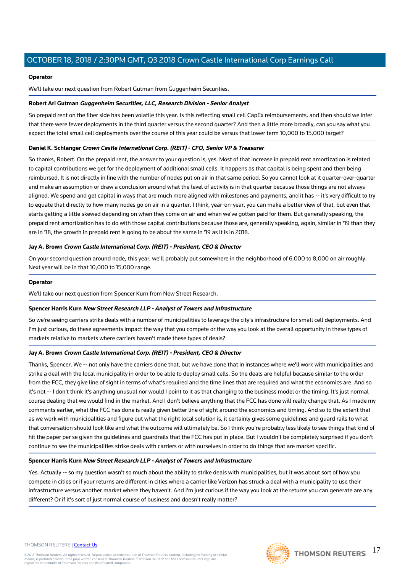#### **Operator**

We'll take our next question from Robert Gutman from Guggenheim Securities.

#### **Robert Ari Gutman Guggenheim Securities, LLC, Research Division - Senior Analyst**

So prepaid rent on the fiber side has been volatile this year. Is this reflecting small cell CapEx reimbursements, and then should we infer that there were fewer deployments in the third quarter versus the second quarter? And then a little more broadly, can you say what you expect the total small cell deployments over the course of this year could be versus that lower term 10,000 to 15,000 target?

#### **Daniel K. Schlanger Crown Castle International Corp. (REIT) - CFO, Senior VP & Treasurer**

So thanks, Robert. On the prepaid rent, the answer to your question is, yes. Most of that increase in prepaid rent amortization is related to capital contributions we get for the deployment of additional small cells. It happens as that capital is being spent and then being reimbursed. It is not directly in line with the number of nodes put on air in that same period. So you cannot look at it quarter-over-quarter and make an assumption or draw a conclusion around what the level of activity is in that quarter because those things are not always aligned. We spend and get capital in ways that are much more aligned with milestones and payments, and it has -- it's very difficult to try to equate that directly to how many nodes go on air in a quarter. I think, year-on-year, you can make a better view of that, but even that starts getting a little skewed depending on when they come on air and when we've gotten paid for them. But generally speaking, the prepaid rent amortization has to do with those capital contributions because those are, generally speaking, again, similar in '19 than they are in '18, the growth in prepaid rent is going to be about the same in '19 as it is in 2018.

#### **Jay A. Brown Crown Castle International Corp. (REIT) - President, CEO & Director**

On your second question around node, this year, we'll probably put somewhere in the neighborhood of 6,000 to 8,000 on air roughly. Next year will be in that 10,000 to 15,000 range.

#### **Operator**

We'll take our next question from Spencer Kurn from New Street Research.

#### **Spencer Harris Kurn New Street Research LLP - Analyst of Towers and Infrastructure**

So we're seeing carriers strike deals with a number of municipalities to leverage the city's infrastructure for small cell deployments. And I'm just curious, do these agreements impact the way that you compete or the way you look at the overall opportunity in these types of markets relative to markets where carriers haven't made these types of deals?

#### **Jay A. Brown Crown Castle International Corp. (REIT) - President, CEO & Director**

Thanks, Spencer. We -- not only have the carriers done that, but we have done that in instances where we'll work with municipalities and strike a deal with the local municipality in order to be able to deploy small cells. So the deals are helpful because similar to the order from the FCC, they give line of sight in terms of what's required and the time lines that are required and what the economics are. And so it's not -- I don't think it's anything unusual nor would I point to it as that changing to the business model or the timing. It's just normal course dealing that we would find in the market. And I don't believe anything that the FCC has done will really change that. As I made my comments earlier, what the FCC has done is really given better line of sight around the economics and timing. And so to the extent that as we work with municipalities and figure out what the right local solution is, it certainly gives some guidelines and guard rails to what that conversation should look like and what the outcome will ultimately be. So I think you're probably less likely to see things that kind of hit the paper per se given the guidelines and guardrails that the FCC has put in place. But I wouldn't be completely surprised if you don't continue to see the municipalities strike deals with carriers or with ourselves in order to do things that are market specific.

#### **Spencer Harris Kurn New Street Research LLP - Analyst of Towers and Infrastructure**

Yes. Actually -- so my question wasn't so much about the ability to strike deals with municipalities, but it was about sort of how you compete in cities or if your returns are different in cities where a carrier like Verizon has struck a deal with a municipality to use their infrastructure versus another market where they haven't. And I'm just curious if the way you look at the returns you can generate are any different? Or if it's sort of just normal course of business and doesn't really matter?

#### THOMSON REUTERS | [Contact Us](https://my.thomsonreuters.com/ContactUsNew)